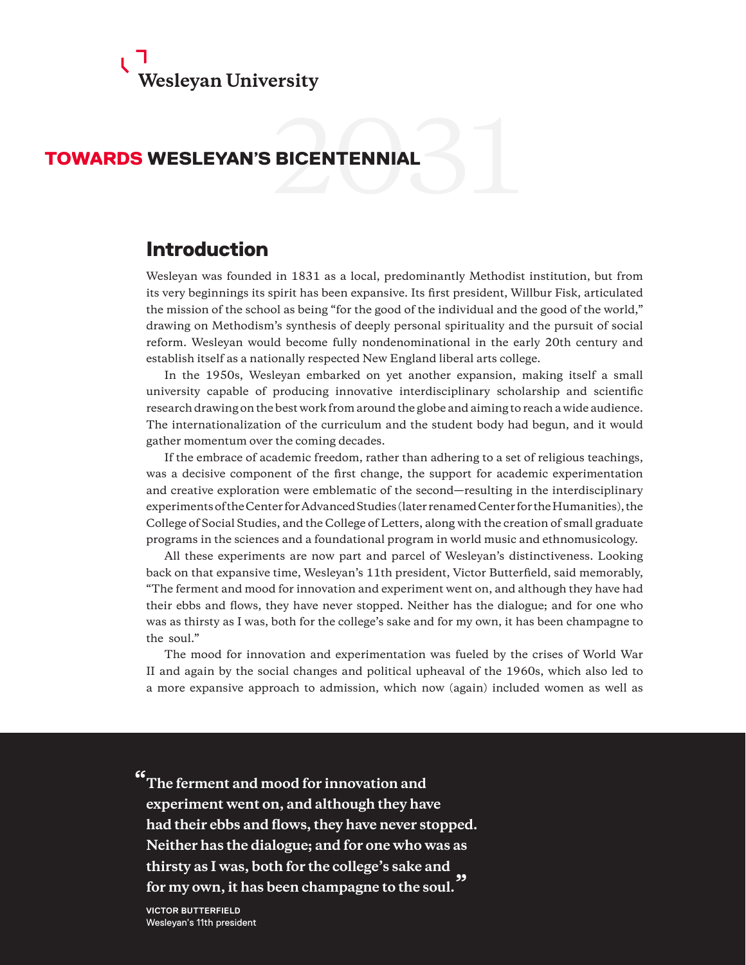

# TOWARDS WESLEYAN'S BICENTENNIAL

# Introduction

Wesleyan was founded in 1831 as a local, predominantly Methodist institution, but from its very beginnings its spirit has been expansive. Its first president, Willbur Fisk, articulated the mission of the school as being "for the good of the individual and the good of the world," drawing on Methodism's synthesis of deeply personal spirituality and the pursuit of social reform. Wesleyan would become fully nondenominational in the early 20th century and establish itself as a nationally respected New England liberal arts college.

In the 1950s, Wesleyan embarked on yet another expansion, making itself a small university capable of producing innovative interdisciplinary scholarship and scientific research drawing on the best work from around the globe and aiming to reach a wide audience. The internationalization of the curriculum and the student body had begun, and it would gather momentum over the coming decades.

If the embrace of academic freedom, rather than adhering to a set of religious teachings, was a decisive component of the first change, the support for academic experimentation and creative exploration were emblematic of the second—resulting in the interdisciplinary experiments of the Center for Advanced Studies (later renamed Center for the Humanities), the College of Social Studies, and the College of Letters, along with the creation of small graduate programs in the sciences and a foundational program in world music and ethnomusicology.

All these experiments are now part and parcel of Wesleyan's distinctiveness. Looking back on that expansive time, Wesleyan's 11th president, Victor Butterfield, said memorably, "The ferment and mood for innovation and experiment went on, and although they have had their ebbs and flows, they have never stopped. Neither has the dialogue; and for one who was as thirsty as I was, both for the college's sake and for my own, it has been champagne to the soul."

The mood for innovation and experimentation was fueled by the crises of World War II and again by the social changes and political upheaval of the 1960s, which also led to a more expansive approach to admission, which now (again) included women as well as

**" The ferment and mood for innovation and experiment went on, and although they have had their ebbs and flows, they have never stopped. Neither has the dialogue; and for one who was as thirsty as I was, both for the college's sake and for my own, it has been champagne to the soul."**

**VICTOR BUTTERFIELD** Wesleyan's 11th president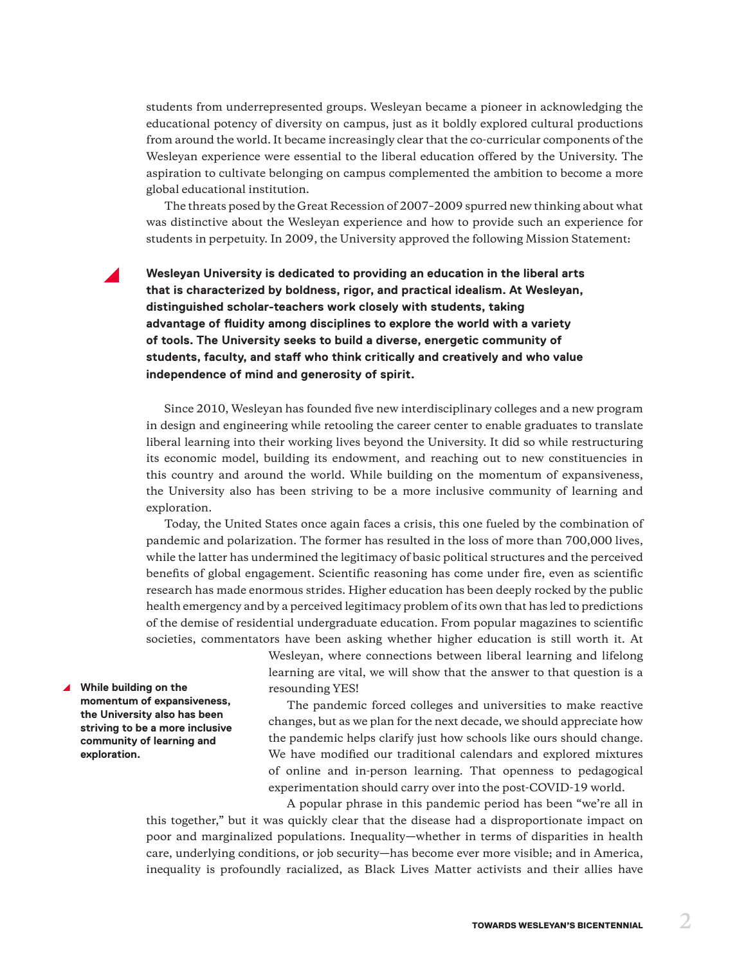students from underrepresented groups. Wesleyan became a pioneer in acknowledging the educational potency of diversity on campus, just as it boldly explored cultural productions from around the world. It became increasingly clear that the co-curricular components of the Wesleyan experience were essential to the liberal education offered by the University. The aspiration to cultivate belonging on campus complemented the ambition to become a more global educational institution.

The threats posed by the Great Recession of 2007–2009 spurred new thinking about what was distinctive about the Wesleyan experience and how to provide such an experience for students in perpetuity. In 2009, the University approved the following Mission Statement:

Wesleyan University is dedicated to providing an education in the liberal arts **that is characterized by boldness, rigor, and practical idealism. At Wesleyan, distinguished scholar-teachers work closely with students, taking advantage of fluidity among disciplines to explore the world with a variety of tools. The University seeks to build a diverse, energetic community of students, faculty, and staff who think critically and creatively and who value independence of mind and generosity of spirit.**

Since 2010, Wesleyan has founded five new interdisciplinary colleges and a new program in design and engineering while retooling the career center to enable graduates to translate liberal learning into their working lives beyond the University. It did so while restructuring its economic model, building its endowment, and reaching out to new constituencies in this country and around the world. While building on the momentum of expansiveness, the University also has been striving to be a more inclusive community of learning and exploration.

Today, the United States once again faces a crisis, this one fueled by the combination of pandemic and polarization. The former has resulted in the loss of more than 700,000 lives, while the latter has undermined the legitimacy of basic political structures and the perceived benefits of global engagement. Scientific reasoning has come under fire, even as scientific research has made enormous strides. Higher education has been deeply rocked by the public health emergency and by a perceived legitimacy problem of its own that has led to predictions of the demise of residential undergraduate education. From popular magazines to scientific societies, commentators have been asking whether higher education is still worth it. At

> Wesleyan, where connections between liberal learning and lifelong learning are vital, we will show that the answer to that question is a resounding YES!

y **While building on the momentum of expansiveness, the University also has been striving to be a more inclusive community of learning and exploration.**

The pandemic forced colleges and universities to make reactive changes, but as we plan for the next decade, we should appreciate how the pandemic helps clarify just how schools like ours should change. We have modified our traditional calendars and explored mixtures of online and in-person learning. That openness to pedagogical experimentation should carry over into the post-COVID-19 world.

A popular phrase in this pandemic period has been "we're all in this together," but it was quickly clear that the disease had a disproportionate impact on poor and marginalized populations. Inequality—whether in terms of disparities in health care, underlying conditions, or job security—has become ever more visible; and in America, inequality is profoundly racialized, as Black Lives Matter activists and their allies have

TOWARDS WESLEYAN'S BICENTENNIAL **2**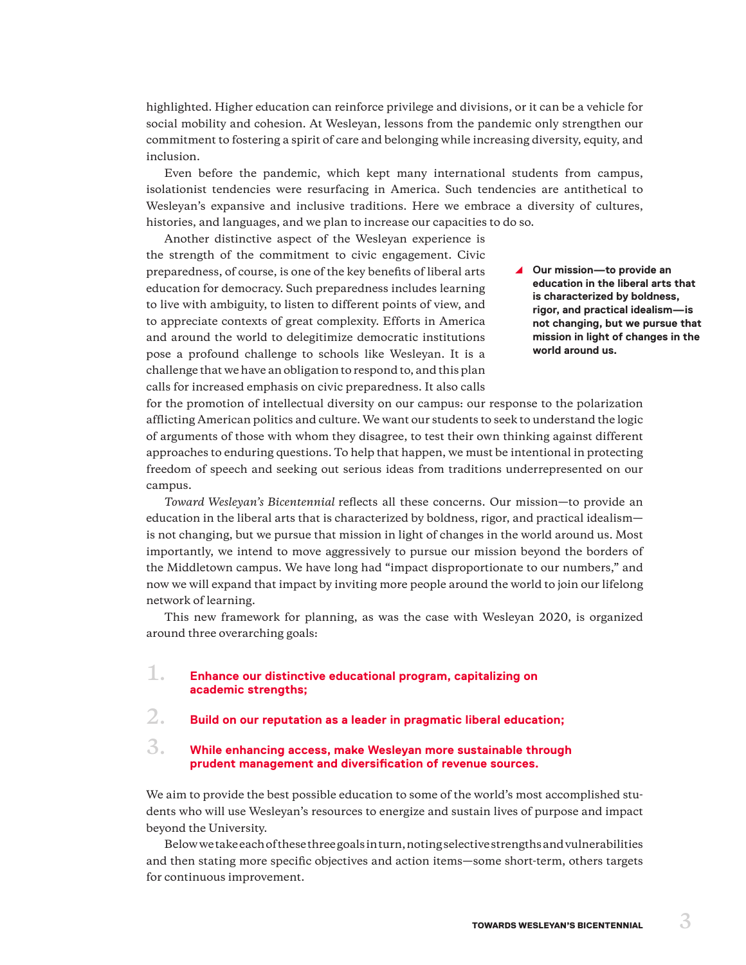highlighted. Higher education can reinforce privilege and divisions, or it can be a vehicle for social mobility and cohesion. At Wesleyan, lessons from the pandemic only strengthen our commitment to fostering a spirit of care and belonging while increasing diversity, equity, and inclusion.

Even before the pandemic, which kept many international students from campus, isolationist tendencies were resurfacing in America. Such tendencies are antithetical to Wesleyan's expansive and inclusive traditions. Here we embrace a diversity of cultures, histories, and languages, and we plan to increase our capacities to do so.

Another distinctive aspect of the Wesleyan experience is the strength of the commitment to civic engagement. Civic preparedness, of course, is one of the key benefits of liberal arts education for democracy. Such preparedness includes learning to live with ambiguity, to listen to different points of view, and to appreciate contexts of great complexity. Efforts in America and around the world to delegitimize democratic institutions pose a profound challenge to schools like Wesleyan. It is a challenge that we have an obligation to respond to, and this plan calls for increased emphasis on civic preparedness. It also calls

▲ Our mission—to provide an **education in the liberal arts that is characterized by boldness, rigor, and practical idealism—is not changing, but we pursue that mission in light of changes in the world around us.**

for the promotion of intellectual diversity on our campus: our response to the polarization afflicting American politics and culture. We want our students to seek to understand the logic of arguments of those with whom they disagree, to test their own thinking against different approaches to enduring questions. To help that happen, we must be intentional in protecting freedom of speech and seeking out serious ideas from traditions underrepresented on our campus.

*Toward Wesleyan's Bicentennial* reflects all these concerns. Our mission—to provide an education in the liberal arts that is characterized by boldness, rigor, and practical idealism is not changing, but we pursue that mission in light of changes in the world around us. Most importantly, we intend to move aggressively to pursue our mission beyond the borders of the Middletown campus. We have long had "impact disproportionate to our numbers," and now we will expand that impact by inviting more people around the world to join our lifelong network of learning.

This new framework for planning, as was the case with Wesleyan 2020, is organized around three overarching goals:

# **1. Enhance our distinctive educational program, capitalizing on academic strengths;**

# **2. Build on our reputation as a leader in pragmatic liberal education;**

## **3. While enhancing access, make Wesleyan more sustainable through prudent management and diversification of revenue sources.**

We aim to provide the best possible education to some of the world's most accomplished students who will use Wesleyan's resources to energize and sustain lives of purpose and impact beyond the University.

Below we take each of these three goals in turn, noting selective strengths and vulnerabilities and then stating more specific objectives and action items—some short-term, others targets for continuous improvement.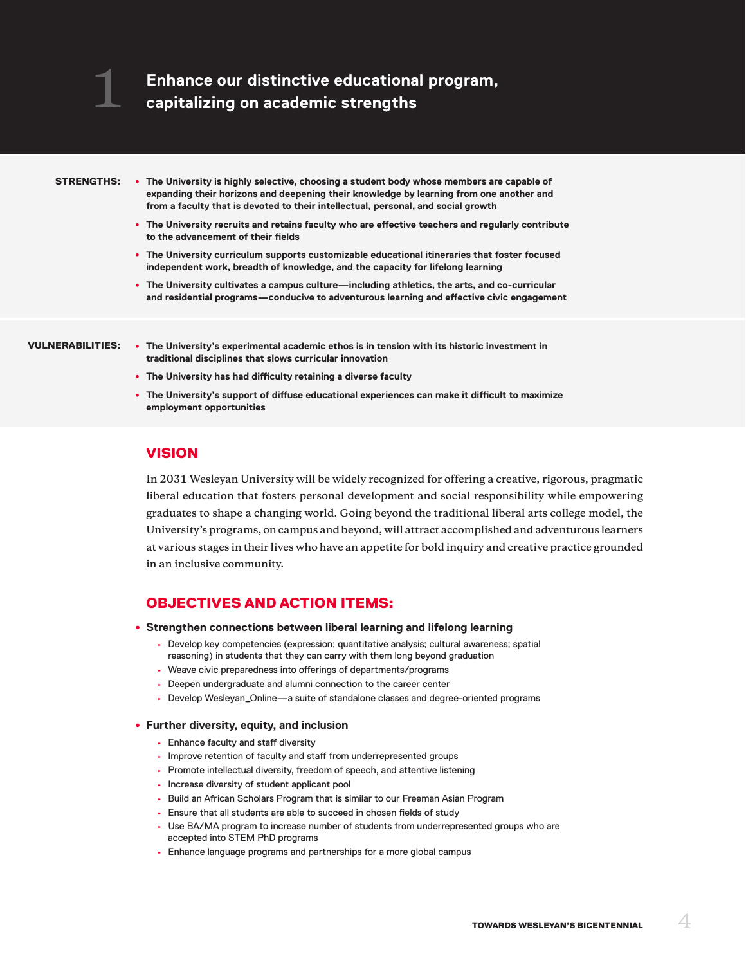#### STRENGTHS:

**1**

- **The University is highly selective, choosing a student body whose members are capable of expanding their horizons and deepening their knowledge by learning from one another and from a faculty that is devoted to their intellectual, personal, and social growth**
	- **The University recruits and retains faculty who are effective teachers and regularly contribute to the advancement of their fields**
	- **The University curriculum supports customizable educational itineraries that foster focused independent work, breadth of knowledge, and the capacity for lifelong learning**
	- **The University cultivates a campus culture—including athletics, the arts, and co-curricular and residential programs—conducive to adventurous learning and effective civic engagement**

- **The University's experimental academic ethos is in tension with its historic investment in**  VULNERABILITIES:**traditional disciplines that slows curricular innovation**
	- **The University has had difficulty retaining a diverse faculty**
	- **The University's support of diffuse educational experiences can make it difficult to maximize employment opportunities**

### VISION

**In 2031 Wesleyan University will be widely recognized for offering a creative, rigorous, pragmatic liberal education that fosters personal development and social responsibility while empowering graduates to shape a changing world. Going beyond the traditional liberal arts college model, the University's programs, on campus and beyond, will attract accomplished and adventurous learners at various stages in their lives who have an appetite for bold inquiry and creative practice grounded in an inclusive community.**

# OBJECTIVES AND ACTION ITEMS:

- **Strengthen connections between liberal learning and lifelong learning**
	- **•** Develop key competencies (expression; quantitative analysis; cultural awareness; spatial reasoning) in students that they can carry with them long beyond graduation
	- **•** Weave civic preparedness into offerings of departments/programs
	- **•** Deepen undergraduate and alumni connection to the career center
	- **•** Develop Wesleyan\_Online—a suite of standalone classes and degree-oriented programs

#### • **Further diversity, equity, and inclusion**

- **•** Enhance faculty and staff diversity
- **•** Improve retention of faculty and staff from underrepresented groups
- **•** Promote intellectual diversity, freedom of speech, and attentive listening
- **•** Increase diversity of student applicant pool
- **•** Build an African Scholars Program that is similar to our Freeman Asian Program
- **•** Ensure that all students are able to succeed in chosen fields of study
- **•** Use BA/MA program to increase number of students from underrepresented groups who are accepted into STEM PhD programs
- **•** Enhance language programs and partnerships for a more global campus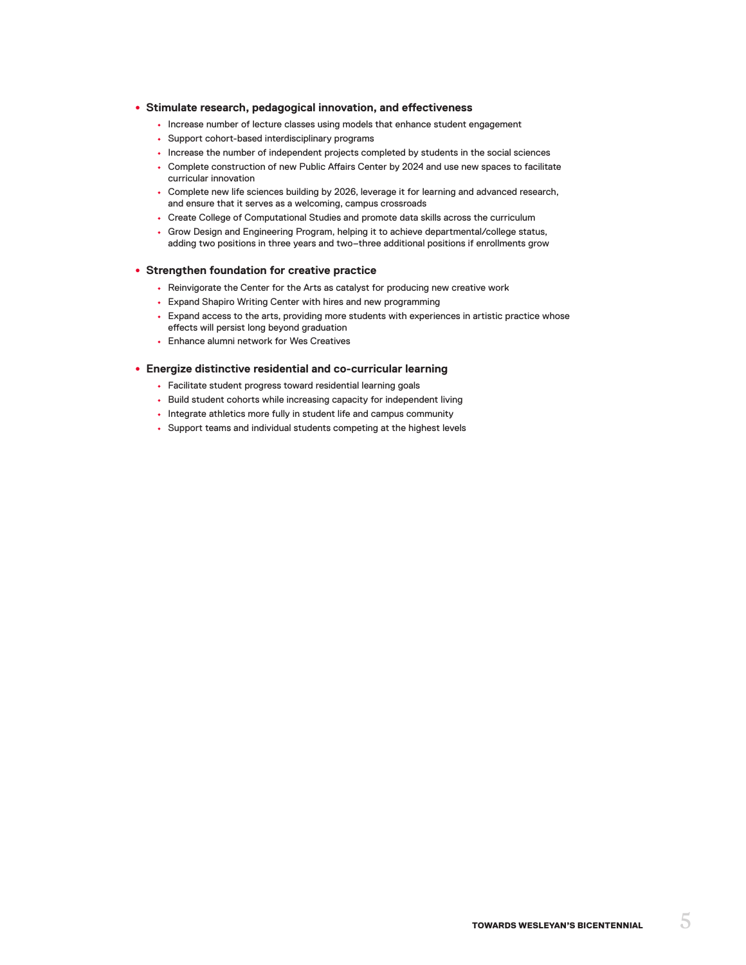#### • **Stimulate research, pedagogical innovation, and effectiveness**

- **•** Increase number of lecture classes using models that enhance student engagement
- **•** Support cohort-based interdisciplinary programs
- **•** Increase the number of independent projects completed by students in the social sciences
- **•** Complete construction of new Public Affairs Center by 2024 and use new spaces to facilitate curricular innovation
- **•** Complete new life sciences building by 2026, leverage it for learning and advanced research, and ensure that it serves as a welcoming, campus crossroads
- **•** Create College of Computational Studies and promote data skills across the curriculum
- **•** Grow Design and Engineering Program, helping it to achieve departmental/college status, adding two positions in three years and two–three additional positions if enrollments grow

#### • **Strengthen foundation for creative practice**

- **•** Reinvigorate the Center for the Arts as catalyst for producing new creative work
- **•** Expand Shapiro Writing Center with hires and new programming
- **•** Expand access to the arts, providing more students with experiences in artistic practice whose effects will persist long beyond graduation
- **•** Enhance alumni network for Wes Creatives

#### • **Energize distinctive residential and co-curricular learning**

- **•** Facilitate student progress toward residential learning goals
- **•** Build student cohorts while increasing capacity for independent living
- **•** Integrate athletics more fully in student life and campus community
- **•** Support teams and individual students competing at the highest levels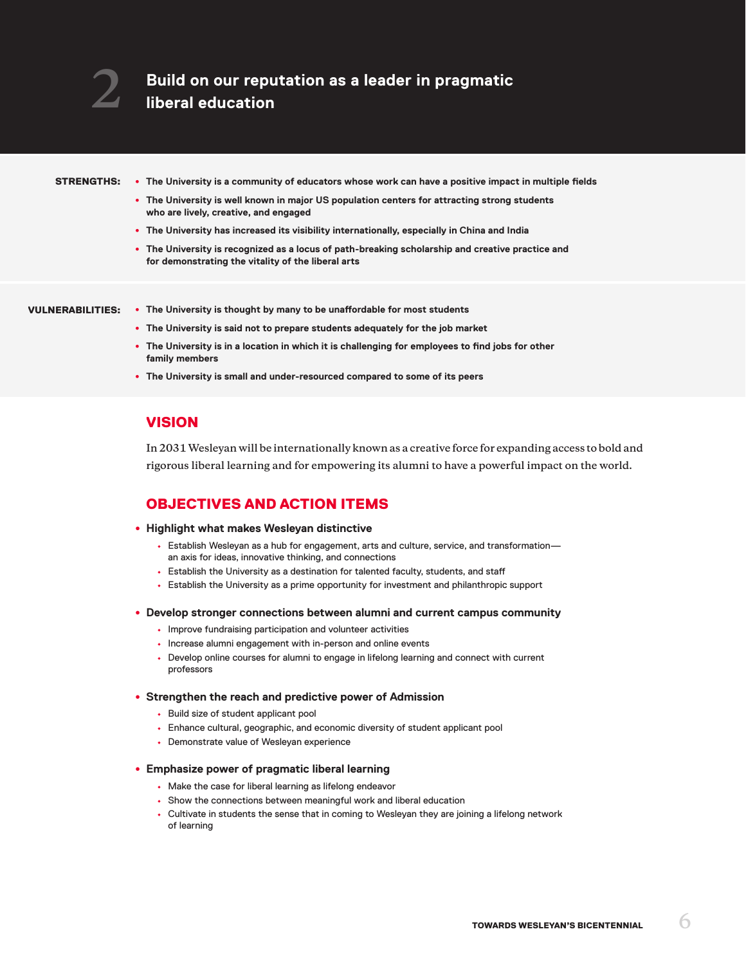#### STRENGTHS:

• **The University is a community of educators whose work can have a positive impact in multiple fields**

- **The University is well known in major US population centers for attracting strong students who are lively, creative, and engaged**
- **The University has increased its visibility internationally, especially in China and India**
- **The University is recognized as a locus of path-breaking scholarship and creative practice and for demonstrating the vitality of the liberal arts**

#### VULNERABILITIES:

- **The University is thought by many to be unaffordable for most students**
	- **The University is said not to prepare students adequately for the job market**
	- **The University is in a location in which it is challenging for employees to find jobs for other family members**
	- **The University is small and under-resourced compared to some of its peers**

# VISION

**In 2031 Wesleyan will be internationally known as a creative force for expanding access to bold and rigorous liberal learning and for empowering its alumni to have a powerful impact on the world.** 

# OBJECTIVES AND ACTION ITEMS

- **Highlight what makes Wesleyan distinctive**
	- **•** Establish Wesleyan as a hub for engagement, arts and culture, service, and transformation an axis for ideas, innovative thinking, and connections
	- **•** Establish the University as a destination for talented faculty, students, and staff
	- **•** Establish the University as a prime opportunity for investment and philanthropic support
- **Develop stronger connections between alumni and current campus community**
	- **•** Improve fundraising participation and volunteer activities
	- **•** Increase alumni engagement with in-person and online events
	- **•** Develop online courses for alumni to engage in lifelong learning and connect with current professors

#### • **Strengthen the reach and predictive power of Admission**

- **•** Build size of student applicant pool
- **•** Enhance cultural, geographic, and economic diversity of student applicant pool
- **•** Demonstrate value of Wesleyan experience

#### • **Emphasize power of pragmatic liberal learning**

- **•** Make the case for liberal learning as lifelong endeavor
- **•** Show the connections between meaningful work and liberal education
- **•** Cultivate in students the sense that in coming to Wesleyan they are joining a lifelong network of learning